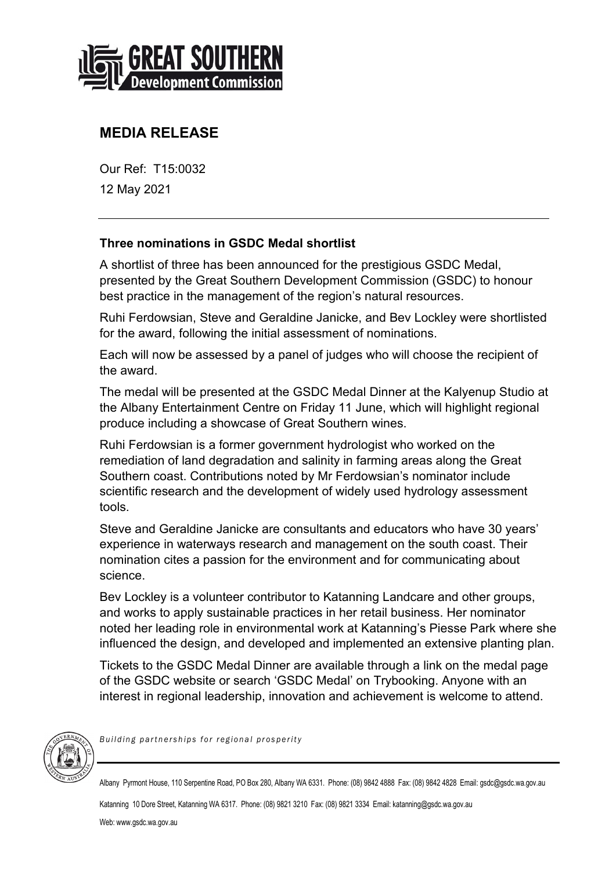

## **MEDIA RELEASE**

Our Ref: T15:0032 12 May 2021

## **Three nominations in GSDC Medal shortlist**

A shortlist of three has been announced for the prestigious GSDC Medal, presented by the Great Southern Development Commission (GSDC) to honour best practice in the management of the region's natural resources.

Ruhi Ferdowsian, Steve and Geraldine Janicke, and Bev Lockley were shortlisted for the award, following the initial assessment of nominations.

Each will now be assessed by a panel of judges who will choose the recipient of the award.

The medal will be presented at the GSDC Medal Dinner at the Kalyenup Studio at the Albany Entertainment Centre on Friday 11 June, which will highlight regional produce including a showcase of Great Southern wines.

Ruhi Ferdowsian is a former government hydrologist who worked on the remediation of land degradation and salinity in farming areas along the Great Southern coast. Contributions noted by Mr Ferdowsian's nominator include scientific research and the development of widely used hydrology assessment tools.

Steve and Geraldine Janicke are consultants and educators who have 30 years' experience in waterways research and management on the south coast. Their nomination cites a passion for the environment and for communicating about science.

Bev Lockley is a volunteer contributor to Katanning Landcare and other groups, and works to apply sustainable practices in her retail business. Her nominator noted her leading role in environmental work at Katanning's Piesse Park where she influenced the design, and developed and implemented an extensive planting plan.

Tickets to the GSDC Medal Dinner are available through a link on the medal page of the GSDC website or search 'GSDC Medal' on Trybooking. Anyone with an interest in regional leadership, innovation and achievement is welcome to attend.



*Building partnerships for regional prosperity*

Albany Pyrmont House, 110 Serpentine Road, PO Box 280, Albany WA 6331. Phone: (08) 9842 4888 Fax: (08) 9842 4828 Email: gsdc@gsdc.wa.gov.au

Katanning 10 Dore Street, Katanning WA 6317. Phone: (08) 9821 3210 Fax: (08) 9821 3334 Email[: katanning@gsdc.wa.gov.au](mailto:rpritchard@agric.wa.gov.au) Web: www.gsdc.wa.gov.au